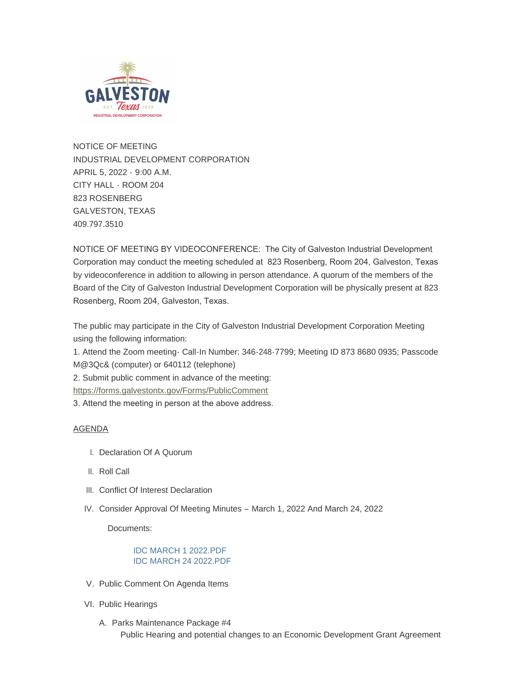

NOTICE OF MEETING INDUSTRIAL DEVELOPMENT CORPORATION APRIL 5, 2022 - 9:00 A.M. CITY HALL - ROOM 204 823 ROSENBERG GALVESTON, TEXAS 409.797.3510

NOTICE OF MEETING BY VIDEOCONFERENCE: The City of Galveston Industrial Development Corporation may conduct the meeting scheduled at 823 Rosenberg, Room 204, Galveston, Texas by videoconference in addition to allowing in person attendance. A quorum of the members of the Board of the City of Galveston Industrial Development Corporation will be physically present at 823 Rosenberg, Room 204, Galveston, Texas.

The public may participate in the City of Galveston Industrial Development Corporation Meeting using the following information:

1. Attend the Zoom meeting- Call-In Number: 346-248-7799; Meeting ID 873 8680 0935; Passcode M@3Qc& (computer) or 640112 (telephone)

[2. Submit public comment in advance of the meeting](https://forms.galvestontx.gov/Forms/PublicComment):

https://forms.galvestontx.gov/Forms/PublicComment

3. Attend the meeting in person at the above address.

#### AGENDA

- I. Declaration Of A Quorum
- II. Roll Call
- III. Conflict Of Interest Declaration
- IV. Consider Approval Of Meeting Minutes March 1, 2022 And March 24, 2022

Documents:

## [IDC MARCH 1 2022.PDF](https://www.galvestontx.gov/AgendaCenter/ViewFile/Item/13986?fileID=32594) [IDC MARCH 24 2022.PDF](https://www.galvestontx.gov/AgendaCenter/ViewFile/Item/13986?fileID=32593)

- V. Public Comment On Agenda Items
- VI. Public Hearings
	- A. Parks Maintenance Package #4 Public Hearing and potential changes to an Economic Development Grant Agreement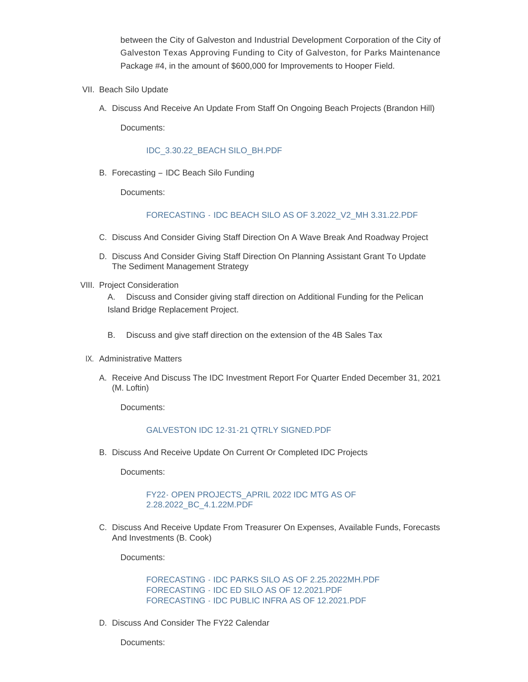between the City of Galveston and Industrial Development Corporation of the City of Galveston Texas Approving Funding to City of Galveston, for Parks Maintenance Package #4, in the amount of \$600,000 for Improvements to Hooper Field.

- VII. Beach Silo Update
	- A. Discuss And Receive An Update From Staff On Ongoing Beach Projects (Brandon Hill)

Documents:

#### [IDC\\_3.30.22\\_BEACH SILO\\_BH.PDF](https://www.galvestontx.gov/AgendaCenter/ViewFile/Item/14005?fileID=32584)

B. Forecasting - IDC Beach Silo Funding

Documents:

## FORECASTING - [IDC BEACH SILO AS OF 3.2022\\_V2\\_MH 3.31.22.PDF](https://www.galvestontx.gov/AgendaCenter/ViewFile/Item/14006?fileID=32596)

- C. Discuss And Consider Giving Staff Direction On A Wave Break And Roadway Project
- D. Discuss And Consider Giving Staff Direction On Planning Assistant Grant To Update The Sediment Management Strategy
- VIII. Project Consideration

A. Discuss and Consider giving staff direction on Additional Funding for the Pelican Island Bridge Replacement Project.

- B. Discuss and give staff direction on the extension of the 4B Sales Tax
- IX. Administrative Matters
	- A. Receive And Discuss The IDC Investment Report For Quarter Ended December 31, 2021 (M. Loftin)

Documents:

#### [GALVESTON IDC 12-31-21 QTRLY SIGNED.PDF](https://www.galvestontx.gov/AgendaCenter/ViewFile/Item/13989?fileID=32577)

B. Discuss And Receive Update On Current Or Completed IDC Projects

Documents:

#### [FY22- OPEN PROJECTS\\_APRIL 2022 IDC MTG AS OF](https://www.galvestontx.gov/AgendaCenter/ViewFile/Item/13990?fileID=32595)  2.28.2022\_BC\_4.1.22M.PDF

C. Discuss And Receive Update From Treasurer On Expenses, Available Funds, Forecasts And Investments (B. Cook)

Documents:

[FORECASTING - IDC PARKS SILO AS OF 2.25.2022MH.PDF](https://www.galvestontx.gov/AgendaCenter/ViewFile/Item/13991?fileID=32598) [FORECASTING - IDC ED SILO AS OF 12.2021.PDF](https://www.galvestontx.gov/AgendaCenter/ViewFile/Item/13991?fileID=32599) [FORECASTING - IDC PUBLIC INFRA AS OF 12.2021.PDF](https://www.galvestontx.gov/AgendaCenter/ViewFile/Item/13991?fileID=32600)

D. Discuss And Consider The FY22 Calendar

Documents: